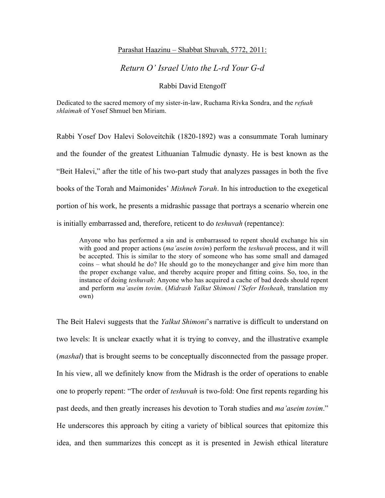### Parashat Haazinu – Shabbat Shuvah, 5772, 2011:

## *Return O' Israel Unto the L-rd Your G-d*

Rabbi David Etengoff

Dedicated to the sacred memory of my sister-in-law, Ruchama Rivka Sondra, and the *refuah shlaimah* of Yosef Shmuel ben Miriam.

Rabbi Yosef Dov Halevi Soloveitchik (1820-1892) was a consummate Torah luminary and the founder of the greatest Lithuanian Talmudic dynasty. He is best known as the "Beit Halevi," after the title of his two-part study that analyzes passages in both the five books of the Torah and Maimonides' *Mishneh Torah*. In his introduction to the exegetical portion of his work, he presents a midrashic passage that portrays a scenario wherein one is initially embarrassed and, therefore, reticent to do *teshuvah* (repentance):

Anyone who has performed a sin and is embarrassed to repent should exchange his sin with good and proper actions (*ma'aseim tovim*) perform the *teshuvah* process, and it will be accepted. This is similar to the story of someone who has some small and damaged coins – what should he do? He should go to the moneychanger and give him more than the proper exchange value, and thereby acquire proper and fitting coins. So, too, in the instance of doing *teshuvah*: Anyone who has acquired a cache of bad deeds should repent and perform *ma'aseim tovim*. (*Midrash Yalkut Shimoni l'Sefer Hosheah*, translation my own)

The Beit Halevi suggests that the *Yalkut Shimoni*'s narrative is difficult to understand on two levels: It is unclear exactly what it is trying to convey, and the illustrative example (*mashal*) that is brought seems to be conceptually disconnected from the passage proper. In his view, all we definitely know from the Midrash is the order of operations to enable one to properly repent: "The order of *teshuvah* is two-fold: One first repents regarding his past deeds, and then greatly increases his devotion to Torah studies and *ma'aseim tovim*." He underscores this approach by citing a variety of biblical sources that epitomize this idea, and then summarizes this concept as it is presented in Jewish ethical literature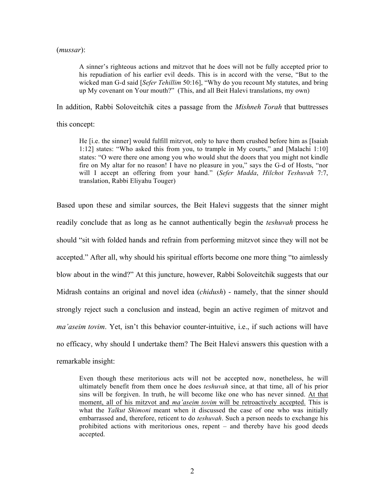#### (*mussar*):

A sinner's righteous actions and mitzvot that he does will not be fully accepted prior to his repudiation of his earlier evil deeds. This is in accord with the verse, "But to the wicked man G-d said [*Sefer Tehillim* 50:16], "Why do you recount My statutes, and bring up My covenant on Your mouth?" (This, and all Beit Halevi translations, my own)

In addition, Rabbi Soloveitchik cites a passage from the *Mishneh Torah* that buttresses

this concept:

He [i.e. the sinner] would fulfill mitzvot, only to have them crushed before him as [Isaiah 1:12] states: "Who asked this from you, to trample in My courts," and [Malachi 1:10] states: "O were there one among you who would shut the doors that you might not kindle fire on My altar for no reason! I have no pleasure in you," says the G-d of Hosts, "nor will I accept an offering from your hand." (*Sefer Madda*, *Hilchot Teshuvah* 7:7, translation, Rabbi Eliyahu Touger)

Based upon these and similar sources, the Beit Halevi suggests that the sinner might readily conclude that as long as he cannot authentically begin the *teshuvah* process he should "sit with folded hands and refrain from performing mitzvot since they will not be accepted." After all, why should his spiritual efforts become one more thing "to aimlessly blow about in the wind?" At this juncture, however, Rabbi Soloveitchik suggests that our Midrash contains an original and novel idea (*chidush*) - namely, that the sinner should strongly reject such a conclusion and instead, begin an active regimen of mitzvot and *ma'aseim tovim*. Yet, isn't this behavior counter-intuitive, i.e., if such actions will have no efficacy, why should I undertake them? The Beit Halevi answers this question with a remarkable insight:

Even though these meritorious acts will not be accepted now, nonetheless, he will ultimately benefit from them once he does *teshuvah* since, at that time, all of his prior sins will be forgiven. In truth, he will become like one who has never sinned. At that moment, all of his mitzvot and *ma'aseim tovim* will be retroactively accepted. This is what the *Yalkut Shimoni* meant when it discussed the case of one who was initially embarrassed and, therefore, reticent to do *teshuvah*. Such a person needs to exchange his prohibited actions with meritorious ones, repent – and thereby have his good deeds accepted.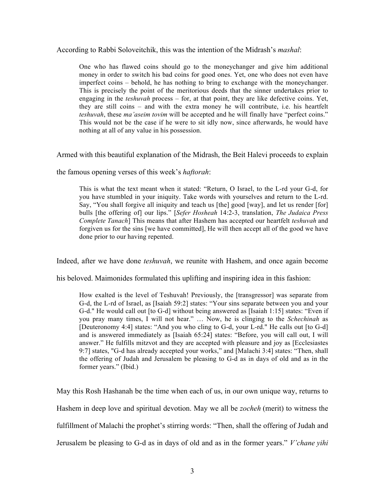According to Rabbi Soloveitchik, this was the intention of the Midrash's *mashal*:

One who has flawed coins should go to the moneychanger and give him additional money in order to switch his bad coins for good ones. Yet, one who does not even have imperfect coins – behold, he has nothing to bring to exchange with the moneychanger. This is precisely the point of the meritorious deeds that the sinner undertakes prior to engaging in the *teshuvah* process – for, at that point, they are like defective coins. Yet, they are still coins – and with the extra money he will contribute, i.e. his heartfelt *teshuvah*, these *ma'aseim tovim* will be accepted and he will finally have "perfect coins." This would not be the case if he were to sit idly now, since afterwards, he would have nothing at all of any value in his possession.

Armed with this beautiful explanation of the Midrash, the Beit Halevi proceeds to explain

the famous opening verses of this week's *haftorah*:

This is what the text meant when it stated: "Return, O Israel, to the L-rd your G-d, for you have stumbled in your iniquity. Take words with yourselves and return to the L-rd. Say, "You shall forgive all iniquity and teach us [the] good [way], and let us render [for] bulls [the offering of] our lips." [*Sefer Hosheah* 14:2-3, translation, *The Judaica Press Complete Tanach*] This means that after Hashem has accepted our heartfelt *teshuvah* and forgiven us for the sins [we have committed], He will then accept all of the good we have done prior to our having repented.

Indeed, after we have done *teshuvah*, we reunite with Hashem, and once again become

his beloved. Maimonides formulated this uplifting and inspiring idea in this fashion:

How exalted is the level of Teshuvah! Previously, the [transgressor] was separate from G-d, the L-rd of Israel, as [Isaiah 59:2] states: "Your sins separate between you and your G-d." He would call out [to G-d] without being answered as [Isaiah 1:15] states: "Even if you pray many times, I will not hear." … Now, he is clinging to the *Schechinah* as [Deuteronomy 4:4] states: "And you who cling to G-d, your L-rd." He calls out [to G-d] and is answered immediately as [Isaiah 65:24] states: "Before, you will call out, I will answer." He fulfills mitzvot and they are accepted with pleasure and joy as [Ecclesiastes 9:7] states, "G-d has already accepted your works," and [Malachi 3:4] states: "Then, shall the offering of Judah and Jerusalem be pleasing to G-d as in days of old and as in the former years." (Ibid.)

May this Rosh Hashanah be the time when each of us, in our own unique way, returns to Hashem in deep love and spiritual devotion. May we all be *zocheh* (merit) to witness the fulfillment of Malachi the prophet's stirring words: "Then, shall the offering of Judah and Jerusalem be pleasing to G-d as in days of old and as in the former years." *V'chane yihi*